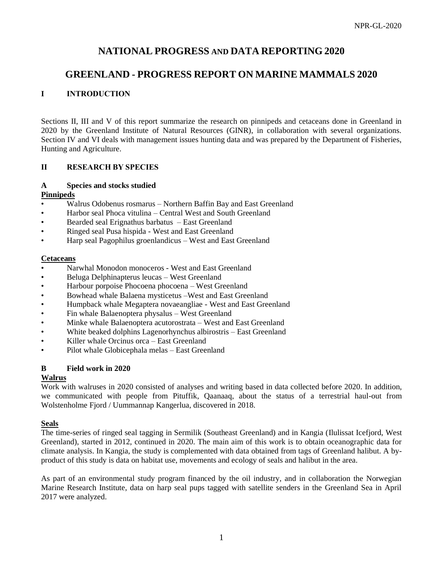# **NATIONAL PROGRESS AND DATA REPORTING 2020**

# **GREENLAND - PROGRESS REPORT ON MARINE MAMMALS 2020**

# **I INTRODUCTION**

Sections II, III and V of this report summarize the research on pinnipeds and cetaceans done in Greenland in 2020 by the Greenland Institute of Natural Resources (GINR), in collaboration with several organizations. Section IV and VI deals with management issues hunting data and was prepared by the Department of Fisheries, Hunting and Agriculture.

## **II RESEARCH BY SPECIES**

#### **A Species and stocks studied Pinnipeds**

- Walrus Odobenus rosmarus Northern Baffin Bay and East Greenland
- Harbor seal Phoca vitulina Central West and South Greenland
- Bearded seal Erignathus barbatus East Greenland
- Ringed seal Pusa hispida West and East Greenland
- Harp seal Pagophilus groenlandicus West and East Greenland

## **Cetaceans**

- Narwhal Monodon monoceros West and East Greenland
- Beluga Delphinapterus leucas West Greenland
- Harbour porpoise Phocoena phocoena West Greenland
- Bowhead whale Balaena mysticetus –West and East Greenland
- Humpback whale Megaptera novaeangliae West and East Greenland
- Fin whale Balaenoptera physalus West Greenland
- Minke whale Balaenoptera acutorostrata West and East Greenland
- White beaked dolphins Lagenorhynchus albirostris East Greenland
- Killer whale Orcinus orca East Greenland
- Pilot whale Globicephala melas East Greenland

# **B Field work in 2020**

## **Walrus**

Work with walruses in 2020 consisted of analyses and writing based in data collected before 2020. In addition, we communicated with people from Pituffik, Qaanaaq, about the status of a terrestrial haul-out from Wolstenholme Fjord / Uummannap Kangerlua, discovered in 2018.

# **Seals**

The time-series of ringed seal tagging in Sermilik (Southeast Greenland) and in Kangia (Ilulissat Icefjord, West Greenland), started in 2012, continued in 2020. The main aim of this work is to obtain oceanographic data for climate analysis. In Kangia, the study is complemented with data obtained from tags of Greenland halibut. A byproduct of this study is data on habitat use, movements and ecology of seals and halibut in the area.

As part of an environmental study program financed by the oil industry, and in collaboration the Norwegian Marine Research Institute, data on harp seal pups tagged with satellite senders in the Greenland Sea in April 2017 were analyzed.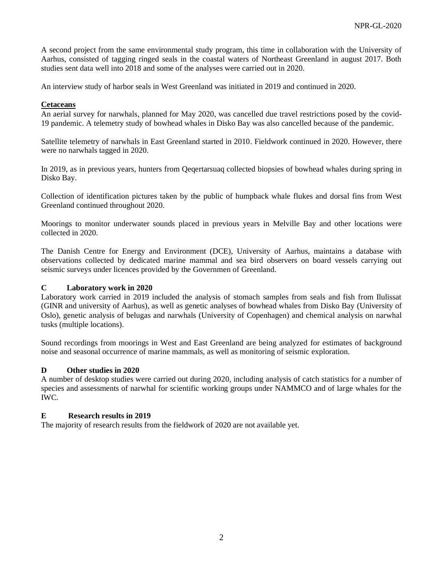A second project from the same environmental study program, this time in collaboration with the University of Aarhus, consisted of tagging ringed seals in the coastal waters of Northeast Greenland in august 2017. Both studies sent data well into 2018 and some of the analyses were carried out in 2020.

An interview study of harbor seals in West Greenland was initiated in 2019 and continued in 2020.

### **Cetaceans**

An aerial survey for narwhals, planned for May 2020, was cancelled due travel restrictions posed by the covid-19 pandemic. A telemetry study of bowhead whales in Disko Bay was also cancelled because of the pandemic.

Satellite telemetry of narwhals in East Greenland started in 2010. Fieldwork continued in 2020. However, there were no narwhals tagged in 2020.

In 2019, as in previous years, hunters from Qeqertarsuaq collected biopsies of bowhead whales during spring in Disko Bay.

Collection of identification pictures taken by the public of humpback whale flukes and dorsal fins from West Greenland continued throughout 2020.

Moorings to monitor underwater sounds placed in previous years in Melville Bay and other locations were collected in 2020.

The Danish Centre for Energy and Environment (DCE), University of Aarhus, maintains a database with observations collected by dedicated marine mammal and sea bird observers on board vessels carrying out seismic surveys under licences provided by the Governmen of Greenland.

#### **C Laboratory work in 2020**

Laboratory work carried in 2019 included the analysis of stomach samples from seals and fish from Ilulissat (GINR and university of Aarhus), as well as genetic analyses of bowhead whales from Disko Bay (University of Oslo), genetic analysis of belugas and narwhals (University of Copenhagen) and chemical analysis on narwhal tusks (multiple locations).

Sound recordings from moorings in West and East Greenland are being analyzed for estimates of background noise and seasonal occurrence of marine mammals, as well as monitoring of seismic exploration.

## **D Other studies in 2020**

A number of desktop studies were carried out during 2020, including analysis of catch statistics for a number of species and assessments of narwhal for scientific working groups under NAMMCO and of large whales for the IWC.

#### **E Research results in 2019**

The majority of research results from the fieldwork of 2020 are not available yet.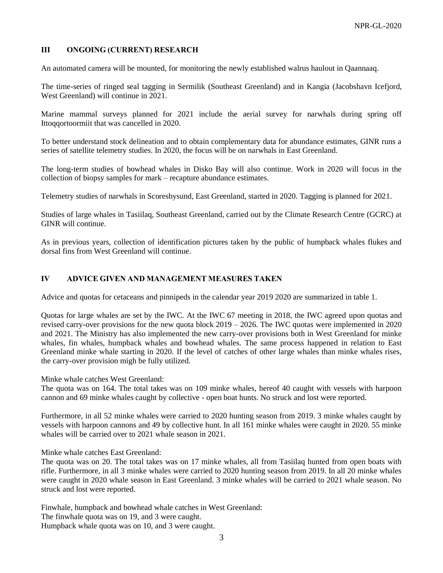# **III ONGOING (CURRENT) RESEARCH**

An automated camera will be mounted, for monitoring the newly established walrus haulout in Qaannaaq.

The time-series of ringed seal tagging in Sermilik (Southeast Greenland) and in Kangia (Jacobshavn Icefjord, West Greenland) will continue in 2021.

Marine mammal surveys planned for 2021 include the aerial survey for narwhals during spring off Ittoqqortoormiit that was cancelled in 2020.

To better understand stock delineation and to obtain complementary data for abundance estimates, GINR runs a series of satellite telemetry studies. In 2020, the focus will be on narwhals in East Greenland.

The long-term studies of bowhead whales in Disko Bay will also continue. Work in 2020 will focus in the collection of biopsy samples for mark – recapture abundance estimates.

Telemetry studies of narwhals in Scoresbysund, East Greenland, started in 2020. Tagging is planned for 2021.

Studies of large whales in Tasiilaq, Southeast Greenland, carried out by the Climate Research Centre (GCRC) at GINR will continue.

As in previous years, collection of identification pictures taken by the public of humpback whales flukes and dorsal fins from West Greenland will continue.

## **IV ADVICE GIVEN AND MANAGEMENT MEASURES TAKEN**

Advice and quotas for cetaceans and pinnipeds in the calendar year 2019 2020 are summarized in table 1.

Quotas for large whales are set by the IWC. At the IWC 67 meeting in 2018, the IWC agreed upon quotas and revised carry-over provisions for the new quota block 2019 – 2026. The IWC quotas were implemented in 2020 and 2021. The Ministry has also implemented the new carry-over provisions both in West Greenland for minke whales, fin whales, humpback whales and bowhead whales. The same process happened in relation to East Greenland minke whale starting in 2020. If the level of catches of other large whales than minke whales rises, the carry-over provision migh be fully utilized.

Minke whale catches West Greenland:

The quota was on 164. The total takes was on 109 minke whales, hereof 40 caught with vessels with harpoon cannon and 69 minke whales caught by collective - open boat hunts. No struck and lost were reported.

Furthermore, in all 52 minke whales were carried to 2020 hunting season from 2019. 3 minke whales caught by vessels with harpoon cannons and 49 by collective hunt. In all 161 minke whales were caught in 2020. 55 minke whales will be carried over to 2021 whale season in 2021.

Minke whale catches East Greenland:

The quota was on 20. The total takes was on 17 minke whales, all from Tasiilaq hunted from open boats with rifle. Furthermore, in all 3 minke whales were carried to 2020 hunting season from 2019. In all 20 minke whales were caught in 2020 whale season in East Greenland. 3 minke whales will be carried to 2021 whale season. No struck and lost were reported.

Finwhale, humpback and bowhead whale catches in West Greenland: The finwhale quota was on 19, and 3 were caught. Humpback whale quota was on 10, and 3 were caught.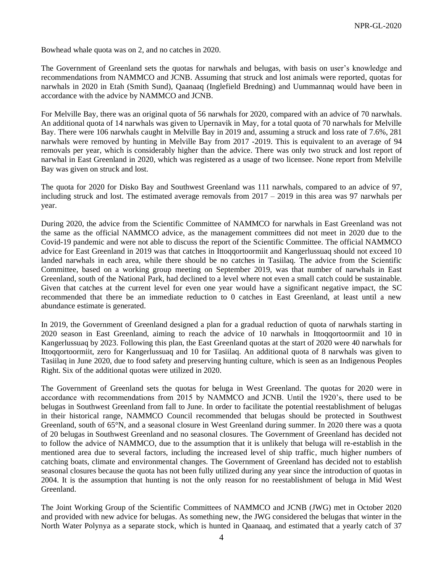Bowhead whale quota was on 2, and no catches in 2020.

The Government of Greenland sets the quotas for narwhals and belugas, with basis on user's knowledge and recommendations from NAMMCO and JCNB. Assuming that struck and lost animals were reported, quotas for narwhals in 2020 in Etah (Smith Sund), Qaanaaq (Inglefield Bredning) and Uummannaq would have been in accordance with the advice by NAMMCO and JCNB.

For Melville Bay, there was an original quota of 56 narwhals for 2020, compared with an advice of 70 narwhals. An additional quota of 14 narwhals was given to Upernavik in May, for a total quota of 70 narwhals for Melville Bay. There were 106 narwhals caught in Melville Bay in 2019 and, assuming a struck and loss rate of 7.6%, 281 narwhals were removed by hunting in Melville Bay from 2017 -2019. This is equivalent to an average of 94 removals per year, which is considerably higher than the advice. There was only two struck and lost report of narwhal in East Greenland in 2020, which was registered as a usage of two licensee. None report from Melville Bay was given on struck and lost.

The quota for 2020 for Disko Bay and Southwest Greenland was 111 narwhals, compared to an advice of 97, including struck and lost. The estimated average removals from  $2017 - 2019$  in this area was 97 narwhals per year.

During 2020, the advice from the Scientific Committee of NAMMCO for narwhals in East Greenland was not the same as the official NAMMCO advice, as the management committees did not meet in 2020 due to the Covid-19 pandemic and were not able to discuss the report of the Scientific Committee. The official NAMMCO advice for East Greenland in 2019 was that catches in Ittoqqortoormiit and Kangerlussuaq should not exceed 10 landed narwhals in each area, while there should be no catches in Tasiilaq. The advice from the Scientific Committee, based on a working group meeting on September 2019, was that number of narwhals in East Greenland, south of the National Park, had declined to a level where not even a small catch could be sustainable. Given that catches at the current level for even one year would have a significant negative impact, the SC recommended that there be an immediate reduction to 0 catches in East Greenland, at least until a new abundance estimate is generated.

In 2019, the Government of Greenland designed a plan for a gradual reduction of quota of narwhals starting in 2020 season in East Greenland, aiming to reach the advice of 10 narwhals in Ittoqqortoormiit and 10 in Kangerlussuaq by 2023. Following this plan, the East Greenland quotas at the start of 2020 were 40 narwhals for Ittoqqortoormiit, zero for Kangerlussuaq and 10 for Tasiilaq. An additional quota of 8 narwhals was given to Tasiilaq in June 2020, due to food safety and preserving hunting culture, which is seen as an Indigenous Peoples Right. Six of the additional quotas were utilized in 2020.

The Government of Greenland sets the quotas for beluga in West Greenland. The quotas for 2020 were in accordance with recommendations from 2015 by NAMMCO and JCNB. Until the 1920's, there used to be belugas in Southwest Greenland from fall to June. In order to facilitate the potential reestablishment of belugas in their historical range, NAMMCO Council recommended that belugas should be protected in Southwest Greenland, south of 65°N, and a seasonal closure in West Greenland during summer. In 2020 there was a quota of 20 belugas in Southwest Greenland and no seasonal closures. The Government of Greenland has decided not to follow the advice of NAMMCO, due to the assumption that it is unlikely that beluga will re-establish in the mentioned area due to several factors, including the increased level of ship traffic, much higher numbers of catching boats, climate and environmental changes. The Government of Greenland has decided not to establish seasonal closures because the quota has not been fully utilized during any year since the introduction of quotas in 2004. It is the assumption that hunting is not the only reason for no reestablishment of beluga in Mid West Greenland.

The Joint Working Group of the Scientific Committees of NAMMCO and JCNB (JWG) met in October 2020 and provided with new advice for belugas. As something new, the JWG considered the belugas that winter in the North Water Polynya as a separate stock, which is hunted in Qaanaaq, and estimated that a yearly catch of 37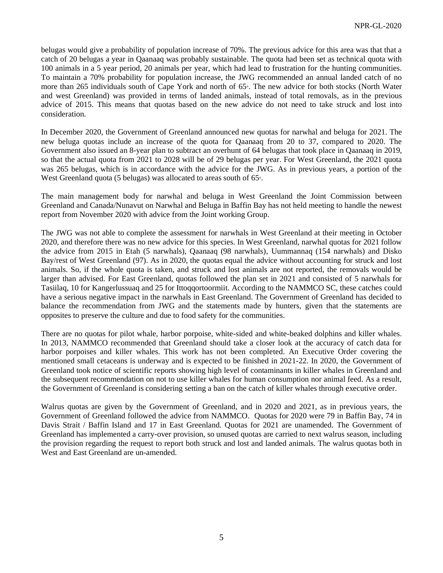belugas would give a probability of population increase of 70%. The previous advice for this area was that that a catch of 20 belugas a year in Qaanaaq was probably sustainable. The quota had been set as technical quota with 100 animals in a 5 year period, 20 animals per year, which had lead to frustration for the hunting communities. To maintain a 70% probability for population increase, the JWG recommended an annual landed catch of no more than 265 individuals south of Cape York and north of 65°. The new advice for both stocks (North Water and west Greenland) was provided in terms of landed animals, instead of total removals, as in the previous advice of 2015. This means that quotas based on the new advice do not need to take struck and lost into consideration.

In December 2020, the Government of Greenland announced new quotas for narwhal and beluga for 2021. The new beluga quotas include an increase of the quota for Qaanaaq from 20 to 37, compared to 2020. The Government also issued an 8-year plan to subtract an overhunt of 64 belugas that took place in Qaanaaq in 2019, so that the actual quota from 2021 to 2028 will be of 29 belugas per year. For West Greenland, the 2021 quota was 265 belugas, which is in accordance with the advice for the JWG. As in previous years, a portion of the West Greenland quota (5 belugas) was allocated to areas south of 65°.

The main management body for narwhal and beluga in West Greenland the Joint Commission between Greenland and Canada/Nunavut on Narwhal and Beluga in Baffin Bay has not held meeting to handle the newest report from November 2020 with advice from the Joint working Group.

The JWG was not able to complete the assessment for narwhals in West Greenland at their meeting in October 2020, and therefore there was no new advice for this species. In West Greenland, narwhal quotas for 2021 follow the advice from 2015 in Etah (5 narwhals), Qaanaaq (98 narwhals), Uummannaq (154 narwhals) and Disko Bay/rest of West Greenland (97). As in 2020, the quotas equal the advice without accounting for struck and lost animals. So, if the whole quota is taken, and struck and lost animals are not reported, the removals would be larger than advised. For East Greenland, quotas followed the plan set in 2021 and consisted of 5 narwhals for Tasiilaq, 10 for Kangerlussuaq and 25 for Ittoqqortoormiit. According to the NAMMCO SC, these catches could have a serious negative impact in the narwhals in East Greenland. The Government of Greenland has decided to balance the recommendation from JWG and the statements made by hunters, given that the statements are opposites to preserve the culture and due to food safety for the communities.

There are no quotas for pilot whale, harbor porpoise, white-sided and white-beaked dolphins and killer whales. In 2013, NAMMCO recommended that Greenland should take a closer look at the accuracy of catch data for harbor porpoises and killer whales. This work has not been completed. An Executive Order covering the mentioned small cetaceans is underway and is expected to be finished in 2021-22. In 2020, the Government of Greenland took notice of scientific reports showing high level of contaminants in killer whales in Greenland and the subsequent recommendation on not to use killer whales for human consumption nor animal feed. As a result, the Government of Greenland is considering setting a ban on the catch of killer whales through executive order.

Walrus quotas are given by the Government of Greenland, and in 2020 and 2021, as in previous years, the Government of Greenland followed the advice from NAMMCO. Quotas for 2020 were 79 in Baffin Bay, 74 in Davis Strait / Baffin Island and 17 in East Greenland. Quotas for 2021 are unamended. The Government of Greenland has implemented a carry-over provision, so unused quotas are carried to next walrus season, including the provision regarding the request to report both struck and lost and landed animals. The walrus quotas both in West and East Greenland are un-amended.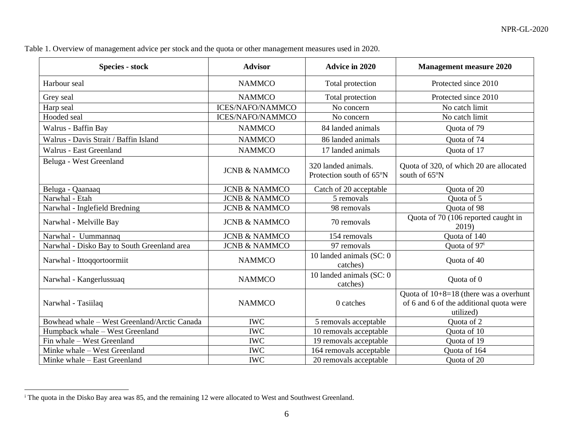| Table 1. Overview of management advice per stock and the quota or other management measures used in 2020. |
|-----------------------------------------------------------------------------------------------------------|
|                                                                                                           |

| <b>Species - stock</b>                       | <b>Advisor</b>           | <b>Advice in 2020</b>                           | <b>Management measure 2020</b>                                                                   |
|----------------------------------------------|--------------------------|-------------------------------------------------|--------------------------------------------------------------------------------------------------|
| Harbour seal                                 | <b>NAMMCO</b>            | Total protection                                | Protected since 2010                                                                             |
| Grey seal                                    | <b>NAMMCO</b>            | Total protection                                | Protected since 2010                                                                             |
| Harp seal                                    | <b>ICES/NAFO/NAMMCO</b>  | No concern                                      | No catch limit                                                                                   |
| Hooded seal                                  | <b>ICES/NAFO/NAMMCO</b>  | No concern                                      | No catch limit                                                                                   |
| Walrus - Baffin Bay                          | <b>NAMMCO</b>            | 84 landed animals                               | Quota of 79                                                                                      |
| Walrus - Davis Strait / Baffin Island        | <b>NAMMCO</b>            | 86 landed animals                               | Quota of 74                                                                                      |
| Walrus - East Greenland                      | <b>NAMMCO</b>            | 17 landed animals                               | Quota of 17                                                                                      |
| Beluga - West Greenland                      | <b>JCNB &amp; NAMMCO</b> | 320 landed animals.<br>Protection south of 65°N | Quota of 320, of which 20 are allocated<br>south of 65°N                                         |
| Beluga - Qaanaaq                             | <b>JCNB &amp; NAMMCO</b> | Catch of 20 acceptable                          | Quota of 20                                                                                      |
| Narwhal - Etah                               | <b>JCNB &amp; NAMMCO</b> | 5 removals                                      | Quota of 5                                                                                       |
| Narwhal - Inglefield Bredning                | <b>JCNB &amp; NAMMCO</b> | 98 removals                                     | Quota of 98                                                                                      |
| Narwhal - Melville Bay                       | <b>JCNB &amp; NAMMCO</b> | 70 removals                                     | Quota of 70 (106 reported caught in<br>2019)                                                     |
| Narwhal - Uummannaq                          | <b>JCNB &amp; NAMMCO</b> | 154 removals                                    | Quota of 140                                                                                     |
| Narwhal - Disko Bay to South Greenland area  | <b>JCNB &amp; NAMMCO</b> | 97 removals                                     | Quota of 97 <sup>i</sup>                                                                         |
| Narwhal - Ittoqqortoormiit                   | <b>NAMMCO</b>            | 10 landed animals (SC: 0)<br>catches)           | Quota of 40                                                                                      |
| Narwhal - Kangerlussuaq                      | <b>NAMMCO</b>            | 10 landed animals (SC: 0)<br>catches)           | Quota of 0                                                                                       |
| Narwhal - Tasiilaq                           | <b>NAMMCO</b>            | 0 catches                                       | Quota of $10+8=18$ (there was a overhunt<br>of 6 and 6 of the additional quota were<br>utilized) |
| Bowhead whale - West Greenland/Arctic Canada | <b>IWC</b>               | 5 removals acceptable                           | Quota of 2                                                                                       |
| Humpback whale - West Greenland              | <b>IWC</b>               | $\overline{10}$ removals acceptable             | Quota of 10                                                                                      |
| Fin whale - West Greenland                   | <b>IWC</b>               | 19 removals acceptable                          | Quota of 19                                                                                      |
| Minke whale - West Greenland                 | <b>IWC</b>               | 164 removals acceptable                         | Quota of 164                                                                                     |
| Minke whale - East Greenland                 | <b>IWC</b>               | 20 removals acceptable                          | Quota of 20                                                                                      |

<sup>i</sup> The quota in the Disko Bay area was 85, and the remaining 12 were allocated to West and Southwest Greenland.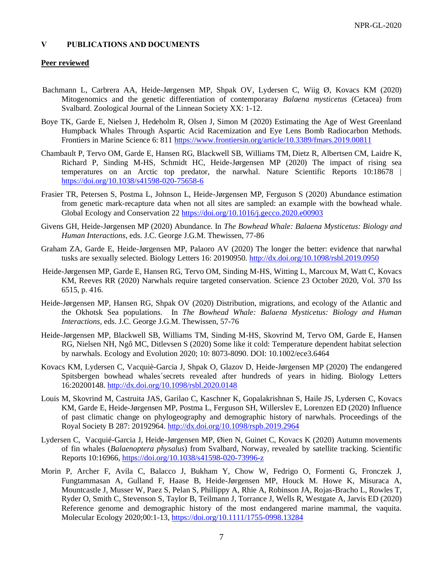### **V PUBLICATIONS AND DOCUMENTS**

#### **Peer reviewed**

- Bachmann L, Carbrera AA, Heide-Jørgensen MP, Shpak OV, Lydersen C, Wiig Ø, Kovacs KM (2020) Mitogenomics and the genetic differentiation of contemporaray *Balaena mysticetus* (Cetacea) from Svalbard. Zoological Journal of the Linnean Society XX: 1-12.
- Boye TK, Garde E, Nielsen J, Hedeholm R, Olsen J, Simon M (2020) Estimating the Age of West Greenland Humpback Whales Through Aspartic Acid Racemization and Eye Lens Bomb Radiocarbon Methods. Frontiers in Marine Science 6: 811<https://www.frontiersin.org/article/10.3389/fmars.2019.00811>
- Chambault P, Tervo OM, Garde E, Hansen RG, Blackwell SB, Williams TM, Dietz R, Albertsen CM, Laidre K, Richard P, Sinding M-HS, Schmidt HC, Heide-Jørgensen MP (2020) The impact of rising sea temperatures on an Arctic top predator, the narwhal. Nature Scientific Reports 10:18678 | <https://doi.org/10.1038/s41598-020-75658-6>
- Frasier TR, Petersen S, Postma L, Johnson L, Heide-Jørgensen MP, Ferguson S (2020) Abundance estimation from genetic mark-recapture data when not all sites are sampled: an example with the bowhead whale. Global Ecology and Conservation 22<https://doi.org/10.1016/j.gecco.2020.e00903>
- Givens GH, Heide-Jørgensen MP (2020) Abundance. In *The Bowhead Whale: Balaena Mysticetus: Biology and Human Interactions*, eds. J.C. George J.G.M. Thewissen, 77-86
- Graham ZA, Garde E, Heide-Jørgensen MP, Palaoro AV (2020) The longer the better: evidence that narwhal tusks are sexually selected. Biology Letters 16: 20190950.<http://dx.doi.org/10.1098/rsbl.2019.0950>
- Heide-Jørgensen MP, Garde E, Hansen RG, Tervo OM, Sinding M-HS, Witting L, Marcoux M, Watt C, Kovacs KM, Reeves RR (2020) Narwhals require targeted conservation. Science 23 October 2020, Vol. 370 Iss 6515, p. 416.
- Heide-Jørgensen MP, Hansen RG, Shpak OV (2020) Distribution, migrations, and ecology of the Atlantic and the Okhotsk Sea populations. In *The Bowhead Whale: Balaena Mysticetus: Biology and Human Interactions*, eds. J.C. George J.G.M. Thewissen, 57-76
- Heide-Jørgensen MP, Blackwell SB, Williams TM, Sinding M-HS, Skovrind M, Tervo OM, Garde E, Hansen RG, Nielsen NH, Ngô MC, Ditlevsen S (2020) Some like it cold: Temperature dependent habitat selection by narwhals. Ecology and Evolution 2020; 10: 8073-8090. DOI: 10.1002/ece3.6464
- Kovacs KM, Lydersen C, Vacquiè-Garcia J, Shpak O, Glazov D, Heide-Jørgensen MP (2020) The endangered Spitsbergen bowhead whales´secrets revealed after hundreds of years in hiding. Biology Letters 16:20200148.<http://dx.doi.org/10.1098/rsbl.2020.0148>
- Louis M, Skovrind M, Castruita JAS, Garilao C, Kaschner K, Gopalakrishnan S, Haile JS, Lydersen C, Kovacs KM, Garde E, Heide-Jørgensen MP, Postma L, Ferguson SH, Willerslev E, Lorenzen ED (2020) Influence of past climatic change on phylogeography and demographic history of narwhals. Proceedings of the Royal Society B 287: 20192964[. http://dx.doi.org/10.1098/rspb.2019.2964](http://dx.doi.org/10.1098/rspb.2019.2964)
- Lydersen C, Vacquié-Garcia J, Heide-Jørgensen MP, Øien N, Guinet C, Kovacs K (2020) Autumn movements of fin whales (*Balaenoptera physalus*) from Svalbard, Norway, revealed by satellite tracking. Scientific Reports 10:16966,<https://doi.org/10.1038/s41598-020-73996-z>
- Morin P, Archer F, Avila C, Balacco J, Bukham Y, Chow W, Fedrigo O, Formenti G, Fronczek J, Fungtammasan A, Gulland F, Haase B, Heide-Jørgensen MP, Houck M. Howe K, Misuraca A, Mountcastle J, Musser W, Paez S, Pelan S, Phillippy A, Rhie A, Robinson JA, Rojas-Bracho L, Rowles T, Ryder O, Smith C, Stevenson S, Taylor B, Teilmann J, Torrance J, Wells R, Westgate A, Jarvis ED (2020) Reference genome and demographic history of the most endangered marine mammal, the vaquita. Molecular Ecology 2020;00:1-13,<https://doi.org/10.1111/1755-0998.13284>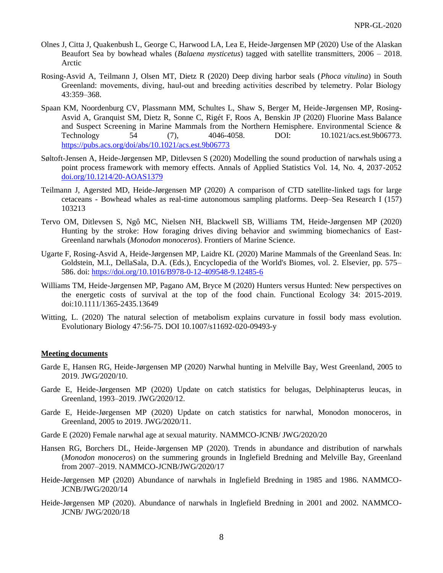- Olnes J, Citta J, Quakenbush L, George C, Harwood LA, Lea E, Heide-Jørgensen MP (2020) [Use of the Alaskan](https://www.researchgate.net/publication/342300032_Use_of_the_Alaskan_Beaufort_Sea_by_bowhead_whales_Balaena_mysticetus_tagged_with_satellite_transmitters_2006_-_2018)  Beaufort Sea by bowhead whales (*Balaena mysticetus*[\) tagged with satellite transmitters, 2006 –](https://www.researchgate.net/publication/342300032_Use_of_the_Alaskan_Beaufort_Sea_by_bowhead_whales_Balaena_mysticetus_tagged_with_satellite_transmitters_2006_-_2018) 2018. Arctic
- Rosing-Asvid A, Teilmann J, Olsen MT, Dietz R (2020) Deep diving harbor seals (*Phoca vitulina*) in South Greenland: movements, diving, haul-out and breeding activities described by telemetry. Polar Biology 43:359–368.
- Spaan KM, Noordenburg CV, Plassmann MM, Schultes L, Shaw S, Berger M, Heide-Jørgensen MP, Rosing-Asvid A, Granquist SM, Dietz R, Sonne C, Rigét F, Roos A, Benskin JP (2020) Fluorine Mass Balance and Suspect Screening in Marine Mammals from the Northern Hemisphere. Environmental Science & Technology 54 (7), 4046-4058. DOI: 10.1021/acs.est.9b06773. <https://pubs.acs.org/doi/abs/10.1021/acs.est.9b06773>
- Søltoft-Jensen A, Heide-Jørgensen MP, Ditlevsen S (2020) Modelling the sound production of narwhals using a point process framework with memory effects. Annals of Applied Statistics Vol. 14, No. 4, 2037-2052 [doi.org/10.1214/20-AOAS1379](http://dx.doi.org/10.1214/20-AOAS1379)
- Teilmann J, Agersted MD, Heide-Jørgensen MP (2020) A comparison of CTD satellite-linked tags for large cetaceans - Bowhead whales as real-time autonomous sampling platforms. Deep–Sea Research I (157) 103213
- Tervo OM, Ditlevsen S, Ngô MC, Nielsen NH, Blackwell SB, Williams TM, Heide-Jørgensen MP (2020) Hunting by the stroke: How foraging drives diving behavior and swimming biomechanics of East-Greenland narwhals (*Monodon monoceros*). Frontiers of Marine Science.
- Ugarte F, Rosing-Asvid A, Heide-Jørgensen MP, Laidre KL (2020) Marine Mammals of the Greenland Seas. In: Goldstein, M.I., DellaSala, D.A. (Eds.), Encyclopedia of the World's Biomes, vol. 2. Elsevier, pp. 575– 586. doi:<https://doi.org/10.1016/B978-0-12-409548-9.12485-6>
- Williams TM, Heide-Jørgensen MP, Pagano AM, Bryce M (2020) Hunters versus Hunted: New perspectives on the energetic costs of survival at the top of the food chain. Functional Ecology 34: 2015-2019. doi:10.1111/1365-2435.13649
- Witting, L. (2020) The natural selection of metabolism explains curvature in fossil body mass evolution. Evolutionary Biology 47:56-75. DOI 10.1007/s11692-020-09493-y

#### **Meeting documents**

- Garde E, Hansen RG, Heide-Jørgensen MP (2020) Narwhal hunting in Melville Bay, West Greenland, 2005 to 2019. JWG/2020/10.
- Garde E, Heide-Jørgensen MP (2020) Update on catch statistics for belugas, Delphinapterus leucas, in Greenland, 1993–2019. JWG/2020/12.
- Garde E, Heide-Jørgensen MP (2020) Update on catch statistics for narwhal, Monodon monoceros, in Greenland, 2005 to 2019. JWG/2020/11.
- Garde E (2020) Female narwhal age at sexual maturity. NAMMCO-JCNB/ JWG/2020/20
- Hansen RG, Borchers DL, Heide-Jørgensen MP (2020). Trends in abundance and distribution of narwhals (*Monodon monoceros*) on the summering grounds in Inglefield Bredning and Melville Bay, Greenland from 2007–2019. NAMMCO-JCNB/JWG/2020/17
- Heide-Jørgensen MP (2020) Abundance of narwhals in Inglefield Bredning in 1985 and 1986. NAMMCO-JCNB/JWG/2020/14
- Heide-Jørgensen MP (2020). Abundance of narwhals in Inglefield Bredning in 2001 and 2002. NAMMCO-JCNB/ JWG/2020/18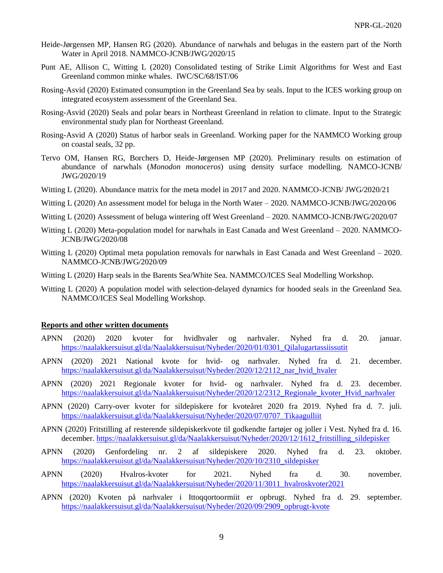- Heide-Jørgensen MP, Hansen RG (2020). Abundance of narwhals and belugas in the eastern part of the North Water in April 2018. NAMMCO-JCNB/JWG/2020/15
- Punt AE, Allison C, Witting L (2020) Consolidated testing of Strike Limit Algorithms for West and East Greenland common minke whales. IWC/SC/68/IST/06
- Rosing-Asvid (2020) Estimated consumption in the Greenland Sea by seals. Input to the ICES working group on integrated ecosystem assessment of the Greenland Sea.
- Rosing-Asvid (2020) Seals and polar bears in Northeast Greenland in relation to climate. Input to the Strategic environmental study plan for Northeast Greenland.
- Rosing-Asvid A (2020) Status of harbor seals in Greenland. Working paper for the NAMMCO Working group on coastal seals, 32 pp.
- Tervo OM, Hansen RG, Borchers D, Heide-Jørgensen MP (2020). Preliminary results on estimation of abundance of narwhals (*Monodon monoceros*) using density surface modelling. NAMCO-JCNB/ JWG/2020/19
- Witting L (2020). Abundance matrix for the meta model in 2017 and 2020. NAMMCO-JCNB/ JWG/2020/21
- Witting L (2020) An assessment model for beluga in the North Water 2020. NAMMCO-JCNB/JWG/2020/06
- Witting L (2020) Assessment of beluga wintering off West Greenland 2020. NAMMCO-JCNB/JWG/2020/07
- Witting L (2020) Meta-population model for narwhals in East Canada and West Greenland 2020. NAMMCO-JCNB/JWG/2020/08
- Witting L (2020) Optimal meta population removals for narwhals in East Canada and West Greenland 2020. NAMMCO-JCNB/JWG/2020/09
- Witting L (2020) Harp seals in the Barents Sea/White Sea. NAMMCO/ICES Seal Modelling Workshop.
- Witting L (2020) A population model with selection-delayed dynamics for hooded seals in the Greenland Sea. NAMMCO/ICES Seal Modelling Workshop.

#### **Reports and other written documents**

- APNN (2020) 2020 kvoter for hvidhvaler og narhvaler. Nyhed fra d. 20. januar. [https://naalakkersuisut.gl/da/Naalakkersuisut/Nyheder/2020/01/0301\\_Qilalugartassiissutit](https://naalakkersuisut.gl/da/Naalakkersuisut/Nyheder/2020/01/0301_Qilalugartassiissutit)
- APNN (2020) 2021 National kvote for hvid- og narhvaler. Nyhed fra d. 21. december. [https://naalakkersuisut.gl/da/Naalakkersuisut/Nyheder/2020/12/2112\\_nar\\_hvid\\_hvaler](https://naalakkersuisut.gl/da/Naalakkersuisut/Nyheder/2020/12/2112_nar_hvid_hvaler)
- APNN (2020) 2021 Regionale kvoter for hvid- og narhvaler. Nyhed fra d. 23. december. [https://naalakkersuisut.gl/da/Naalakkersuisut/Nyheder/2020/12/2312\\_Regionale\\_kvoter\\_Hvid\\_narhvaler](https://naalakkersuisut.gl/da/Naalakkersuisut/Nyheder/2020/12/2312_Regionale_kvoter_Hvid_narhvaler)
- APNN (2020) Carry-over kvoter for sildepiskere for kvoteåret 2020 fra 2019. Nyhed fra d. 7. juli. [https://naalakkersuisut.gl/da/Naalakkersuisut/Nyheder/2020/07/0707\\_Tikaagulliit](https://naalakkersuisut.gl/da/Naalakkersuisut/Nyheder/2020/07/0707_Tikaagulliit)
- APNN (2020) Fritstilling af resterende sildepiskerkvote til godkendte fartøjer og joller i Vest. Nyhed fra d. 16. december. [https://naalakkersuisut.gl/da/Naalakkersuisut/Nyheder/2020/12/1612\\_fritstilling\\_sildepisker](https://naalakkersuisut.gl/da/Naalakkersuisut/Nyheder/2020/12/1612_fritstilling_sildepisker)
- APNN (2020) Genfordeling nr. 2 af sildepiskere 2020. Nyhed fra d. 23. oktober. [https://naalakkersuisut.gl/da/Naalakkersuisut/Nyheder/2020/10/2310\\_sildepisker](https://naalakkersuisut.gl/da/Naalakkersuisut/Nyheder/2020/10/2310_sildepisker)
- APNN (2020) Hvalros-kvoter for 2021. Nyhed fra d. 30. november. [https://naalakkersuisut.gl/da/Naalakkersuisut/Nyheder/2020/11/3011\\_hvalroskvoter2021](https://naalakkersuisut.gl/da/Naalakkersuisut/Nyheder/2020/11/3011_hvalroskvoter2021)
- APNN (2020) Kvoten på narhvaler i Ittoqqortoormiit er opbrugt. Nyhed fra d. 29. september. [https://naalakkersuisut.gl/da/Naalakkersuisut/Nyheder/2020/09/2909\\_opbrugt-kvote](https://naalakkersuisut.gl/da/Naalakkersuisut/Nyheder/2020/09/2909_opbrugt-kvote)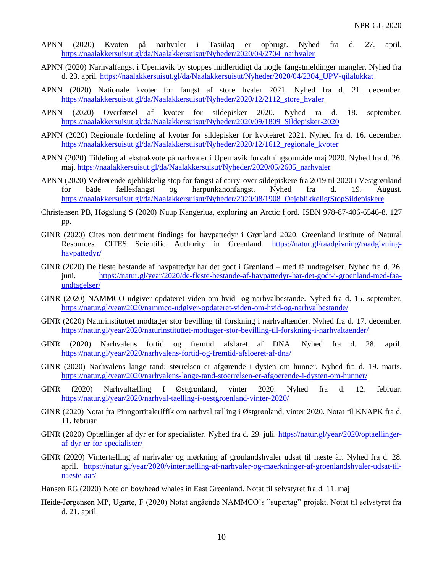- APNN (2020) Kvoten på narhvaler i Tasiilaq er opbrugt. Nyhed fra d. 27. april. [https://naalakkersuisut.gl/da/Naalakkersuisut/Nyheder/2020/04/2704\\_narhvaler](https://naalakkersuisut.gl/da/Naalakkersuisut/Nyheder/2020/04/2704_narhvaler)
- APNN (2020) Narhvalfangst i Upernavik by stoppes midlertidigt da nogle fangstmeldinger mangler. Nyhed fra d. 23. april. [https://naalakkersuisut.gl/da/Naalakkersuisut/Nyheder/2020/04/2304\\_UPV-qilalukkat](https://naalakkersuisut.gl/da/Naalakkersuisut/Nyheder/2020/04/2304_UPV-qilalukkat)
- APNN (2020) Nationale kvoter for fangst af store hvaler 2021. Nyhed fra d. 21. december. [https://naalakkersuisut.gl/da/Naalakkersuisut/Nyheder/2020/12/2112\\_store\\_hvaler](https://naalakkersuisut.gl/da/Naalakkersuisut/Nyheder/2020/12/2112_store_hvaler)
- APNN (2020) Overførsel af kvoter for sildepisker 2020. Nyhed ra d. 18. september. [https://naalakkersuisut.gl/da/Naalakkersuisut/Nyheder/2020/09/1809\\_Sildepisker-2020](https://naalakkersuisut.gl/da/Naalakkersuisut/Nyheder/2020/09/1809_Sildepisker-2020)
- APNN (2020) Regionale fordeling af kvoter for sildepisker for kvoteåret 2021. Nyhed fra d. 16. december. [https://naalakkersuisut.gl/da/Naalakkersuisut/Nyheder/2020/12/1612\\_regionale\\_kvoter](https://naalakkersuisut.gl/da/Naalakkersuisut/Nyheder/2020/12/1612_regionale_kvoter)
- APNN (2020) Tildeling af ekstrakvote på narhvaler i Upernavik forvaltningsområde maj 2020. Nyhed fra d. 26. maj. [https://naalakkersuisut.gl/da/Naalakkersuisut/Nyheder/2020/05/2605\\_narhvaler](https://naalakkersuisut.gl/da/Naalakkersuisut/Nyheder/2020/05/2605_narhvaler)
- APNN (2020) Vedrørende øjeblikkelig stop for fangst af carry-over sildepiskere fra 2019 til 2020 i Vestgrønland for både fællesfangst og harpunkanonfangst. Nyhed fra d. 19. August. [https://naalakkersuisut.gl/da/Naalakkersuisut/Nyheder/2020/08/1908\\_OejeblikkeligtStopSildepiskere](https://naalakkersuisut.gl/da/Naalakkersuisut/Nyheder/2020/08/1908_OejeblikkeligtStopSildepiskere)
- Christensen PB, Høgslung S (2020) Nuup Kangerlua, exploring an Arctic fjord. ISBN 978-87-406-6546-8. 127 pp.
- GINR (2020) Cites non detriment findings for havpattedyr i Grønland 2020. Greenland Institute of Natural Resources. CITES Scientific Authority in Greenland. [https://natur.gl/raadgivning/raadgivning](https://natur.gl/raadgivning/raadgivning-havpattedyr/)[havpattedyr/](https://natur.gl/raadgivning/raadgivning-havpattedyr/)
- GINR (2020) De fleste bestande af havpattedyr har det godt i Grønland med få undtagelser. Nyhed fra d. 26. juni. [https://natur.gl/year/2020/de-fleste-bestande-af-havpattedyr-har-det-godt-i-groenland-med-faa](https://natur.gl/year/2020/de-fleste-bestande-af-havpattedyr-har-det-godt-i-groenland-med-faa-undtagelser/)[undtagelser/](https://natur.gl/year/2020/de-fleste-bestande-af-havpattedyr-har-det-godt-i-groenland-med-faa-undtagelser/)
- GINR (2020) NAMMCO udgiver opdateret viden om hvid- og narhvalbestande. Nyhed fra d. 15. september. <https://natur.gl/year/2020/nammco-udgiver-opdateret-viden-om-hvid-og-narhvalbestande/>
- GINR (2020) Naturinstituttet modtager stor bevilling til forskning i narhvaltænder. Nyhed fra d. 17. december. <https://natur.gl/year/2020/naturinstituttet-modtager-stor-bevilling-til-forskning-i-narhvaltaender/>
- GINR (2020) Narhvalens fortid og fremtid afsløret af DNA. Nyhed fra d. 28. april. <https://natur.gl/year/2020/narhvalens-fortid-og-fremtid-afsloeret-af-dna/>
- GINR (2020) Narhvalens lange tand: størrelsen er afgørende i dysten om hunner. Nyhed fra d. 19. marts. <https://natur.gl/year/2020/narhvalens-lange-tand-stoerrelsen-er-afgoerende-i-dysten-om-hunner/>
- GINR (2020) Narhvaltælling I Østgrønland, vinter 2020. Nyhed fra d. 12. februar. <https://natur.gl/year/2020/narhval-taelling-i-oestgroenland-vinter-2020/>
- GINR (2020) Notat fra Pinngortitaleriffik om narhval tælling i Østgrønland, vinter 2020. Notat til KNAPK fra d. 11. februar
- GINR (2020) Optællinger af dyr er for specialister. Nyhed fra d. 29. juli. [https://natur.gl/year/2020/optaellinger](https://natur.gl/year/2020/optaellinger-af-dyr-er-for-specialister/)[af-dyr-er-for-specialister/](https://natur.gl/year/2020/optaellinger-af-dyr-er-for-specialister/)
- GINR (2020) Vintertælling af narhvaler og mørkning af grønlandshvaler udsat til næste år. Nyhed fra d. 28. april. [https://natur.gl/year/2020/vintertaelling-af-narhvaler-og-maerkninger-af-groenlandshvaler-udsat-til](https://natur.gl/year/2020/vintertaelling-af-narhvaler-og-maerkninger-af-groenlandshvaler-udsat-til-naeste-aar/)[naeste-aar/](https://natur.gl/year/2020/vintertaelling-af-narhvaler-og-maerkninger-af-groenlandshvaler-udsat-til-naeste-aar/)
- Hansen RG (2020) Note on bowhead whales in East Greenland. Notat til selvstyret fra d. 11. maj
- Heide-Jørgensen MP, Ugarte, F (2020) Notat angående NAMMCO's "supertag" projekt. Notat til selvstyret fra d. 21. april